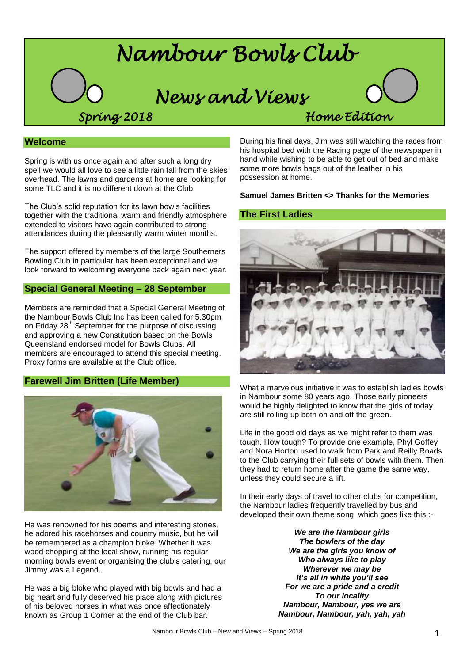

# **Welcome**

Spring is with us once again and after such a long dry spell we would all love to see a little rain fall from the skies overhead. The lawns and gardens at home are looking for some TLC and it is no different down at the Club.

The Club's solid reputation for its lawn bowls facilities together with the traditional warm and friendly atmosphere extended to visitors have again contributed to strong attendances during the pleasantly warm winter months.

The support offered by members of the large Southerners Bowling Club in particular has been exceptional and we look forward to welcoming everyone back again next year.

## **Special General Meeting – 28 September**

Members are reminded that a Special General Meeting of the Nambour Bowls Club Inc has been called for 5.30pm on Friday 28<sup>th</sup> September for the purpose of discussing and approving a new Constitution based on the Bowls Queensland endorsed model for Bowls Clubs. All members are encouraged to attend this special meeting. Proxy forms are available at the Club office.

## **Farewell Jim Britten (Life Member)**



He was renowned for his poems and interesting stories, he adored his racehorses and country music, but he will be remembered as a champion bloke. Whether it was wood chopping at the local show, running his regular morning bowls event or organising the club's catering, our Jimmy was a Legend.

He was a big bloke who played with big bowls and had a big heart and fully deserved his place along with pictures of his beloved horses in what was once affectionately known as Group 1 Corner at the end of the Club bar.

During his final days, Jim was still watching the races from his hospital bed with the Racing page of the newspaper in hand while wishing to be able to get out of bed and make some more bowls bags out of the leather in his possession at home.

### **Samuel James Britten <> Thanks for the Memories**

### **The First Ladies**



What a marvelous initiative it was to establish ladies bowls in Nambour some 80 years ago. Those early pioneers would be highly delighted to know that the girls of today are still rolling up both on and off the green.

Life in the good old days as we might refer to them was tough. How tough? To provide one example, Phyl Goffey and Nora Horton used to walk from Park and Reilly Roads to the Club carrying their full sets of bowls with them. Then they had to return home after the game the same way, unless they could secure a lift.

In their early days of travel to other clubs for competition, the Nambour ladies frequently travelled by bus and developed their own theme song which goes like this :-

> *We are the Nambour girls The bowlers of the day We are the girls you know of Who always like to play Wherever we may be It's all in white you'll see For we are a pride and a credit To our locality Nambour, Nambour, yes we are Nambour, Nambour, yah, yah, yah*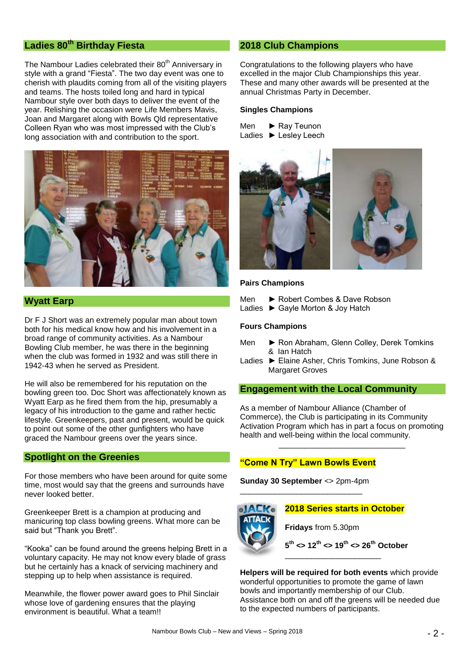# **Ladies 80th Birthday Fiesta**

The Nambour Ladies celebrated their 80<sup>th</sup> Anniversary in style with a grand "Fiesta". The two day event was one to cherish with plaudits coming from all of the visiting players and teams. The hosts toiled long and hard in typical Nambour style over both days to deliver the event of the year. Relishing the occasion were Life Members Mavis, Joan and Margaret along with Bowls Qld representative Colleen Ryan who was most impressed with the Club's long association with and contribution to the sport.



# **Wyatt Earp**

Dr F J Short was an extremely popular man about town both for his medical know how and his involvement in a broad range of community activities. As a Nambour Bowling Club member, he was there in the beginning when the club was formed in 1932 and was still there in 1942-43 when he served as President.

He will also be remembered for his reputation on the bowling green too. Doc Short was affectionately known as Wyatt Earp as he fired them from the hip, presumably a legacy of his introduction to the game and rather hectic lifestyle. Greenkeepers, past and present, would be quick to point out some of the other gunfighters who have graced the Nambour greens over the years since.

## **Spotlight on the Greenies**

For those members who have been around for quite some time, most would say that the greens and surrounds have never looked better.

Greenkeeper Brett is a champion at producing and manicuring top class bowling greens. What more can be said but "Thank you Brett".

"Kooka" can be found around the greens helping Brett in a voluntary capacity. He may not know every blade of grass but he certainly has a knack of servicing machinery and stepping up to help when assistance is required.

Meanwhile, the flower power award goes to Phil Sinclair whose love of gardening ensures that the playing environment is beautiful. What a team!!

# **2018 Club Champions**

Congratulations to the following players who have excelled in the major Club Championships this year. These and many other awards will be presented at the annual Christmas Party in December.

### **Singles Champions**

| Men | $\blacktriangleright$ Ray Teunon |
|-----|----------------------------------|
|     | Ladies ▶ Lesley Leech            |



#### **Pairs Champions**

- Men ► Robert Combes & Dave Robson
- Ladies ► Gayle Morton & Joy Hatch

### **Fours Champions**

- Men ► Ron Abraham, Glenn Colley, Derek Tomkins & Ian Hatch
- Ladies ► Elaine Asher, Chris Tomkins, June Robson & Margaret Groves

### **Engagement with the Local Community**

As a member of Nambour Alliance (Chamber of Commerce), the Club is participating in its Community Activation Program which has in part a focus on promoting health and well-being within the local community.

\_\_\_\_\_\_\_\_\_\_\_\_\_\_\_\_\_\_\_\_\_\_\_\_\_\_\_\_\_

# **"Come N Try" Lawn Bowls Event**

**Sunday 30 September** <> 2pm-4pm \_\_\_\_\_\_\_\_\_\_\_\_\_\_\_\_\_\_\_\_\_\_\_\_\_\_\_\_



**Helpers will be required for both events** which provide wonderful opportunities to promote the game of lawn bowls and importantly membership of our Club. Assistance both on and off the greens will be needed due to the expected numbers of participants.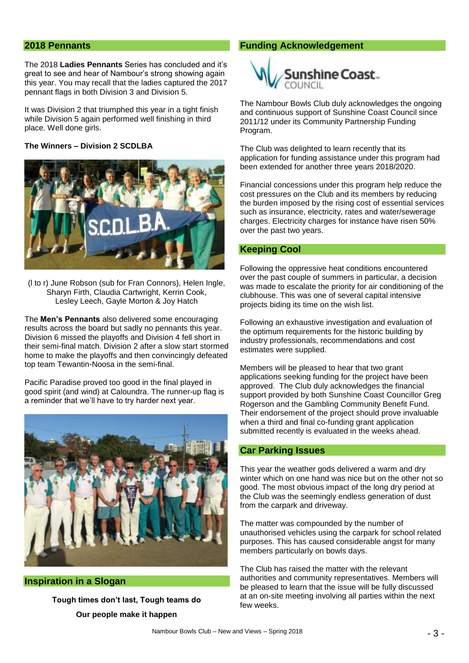## **2018 Pennants**

The 2018 **Ladies Pennants** Series has concluded and it's great to see and hear of Nambour's strong showing again this year. You may recall that the ladies captured the 2017 pennant flags in both Division 3 and Division 5.

It was Division 2 that triumphed this year in a tight finish while Division 5 again performed well finishing in third place. Well done girls.

#### **The Winners – Division 2 SCDLBA**



(l to r) June Robson (sub for Fran Connors), Helen Ingle, Sharyn Firth, Claudia Cartwright, Kerrin Cook, Lesley Leech, Gayle Morton & Joy Hatch

The **Men's Pennants** also delivered some encouraging results across the board but sadly no pennants this year. Division 6 missed the playoffs and Division 4 fell short in their semi-final match. Division 2 after a slow start stormed home to make the playoffs and then convincingly defeated top team Tewantin-Noosa in the semi-final.

Pacific Paradise proved too good in the final played in good spirit (and wind) at Caloundra. The runner-up flag is a reminder that we'll have to try harder next year.



## **Inspiration in a Slogan**

**Tough times don't last, Tough teams do Our people make it happen**

#### **Funding Acknowledgement**



The Nambour Bowls Club duly acknowledges the ongoing and continuous support of Sunshine Coast Council since 2011/12 under its Community Partnership Funding Program.

The Club was delighted to learn recently that its application for funding assistance under this program had been extended for another three years 2018/2020.

Financial concessions under this program help reduce the cost pressures on the Club and its members by reducing the burden imposed by the rising cost of essential services such as insurance, electricity, rates and water/sewerage charges. Electricity charges for instance have risen 50% over the past two years.

### **Keeping Cool**

Following the oppressive heat conditions encountered over the past couple of summers in particular, a decision was made to escalate the priority for air conditioning of the clubhouse. This was one of several capital intensive projects biding its time on the wish list.

Following an exhaustive investigation and evaluation of the optimum requirements for the historic building by industry professionals, recommendations and cost estimates were supplied.

Members will be pleased to hear that two grant applications seeking funding for the project have been approved. The Club duly acknowledges the financial support provided by both Sunshine Coast Councillor Greg Rogerson and the Gambling Community Benefit Fund. Their endorsement of the project should prove invaluable when a third and final co-funding grant application submitted recently is evaluated in the weeks ahead.

### **Car Parking Issues**

This year the weather gods delivered a warm and dry winter which on one hand was nice but on the other not so good. The most obvious impact of the long dry period at the Club was the seemingly endless generation of dust from the carpark and driveway.

The matter was compounded by the number of unauthorised vehicles using the carpark for school related purposes. This has caused considerable angst for many members particularly on bowls days.

The Club has raised the matter with the relevant authorities and community representatives. Members will be pleased to learn that the issue will be fully discussed at an on-site meeting involving all parties within the next few weeks.